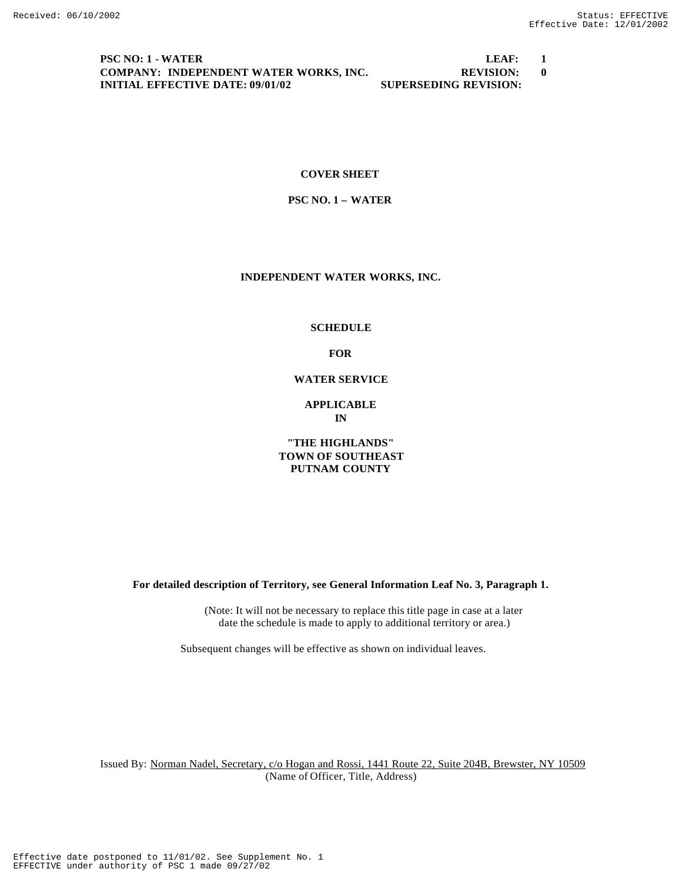#### **PSC NO: 1 - WATER LEAF: 1 COMPANY: INDEPENDENT WATER WORKS, INC. REVISION: 0 INITIAL EFFECTIVE DATE: 09/01/02 SUPERSEDING REVISION:**

### **COVER SHEET**

### **PSC NO. 1 – WATER**

### **INDEPENDENT WATER WORKS, INC.**

#### **SCHEDULE**

**FOR**

#### **WATER SERVICE**

### **APPLICABLE IN**

### **"THE HIGHLANDS" TOWN OF SOUTHEAST PUTNAM COUNTY**

**For detailed description of Territory, see General Information Leaf No. 3, Paragraph 1.**

(Note: It will not be necessary to replace this title page in case at a later date the schedule is made to apply to additional territory or area.)

Subsequent changes will be effective as shown on individual leaves.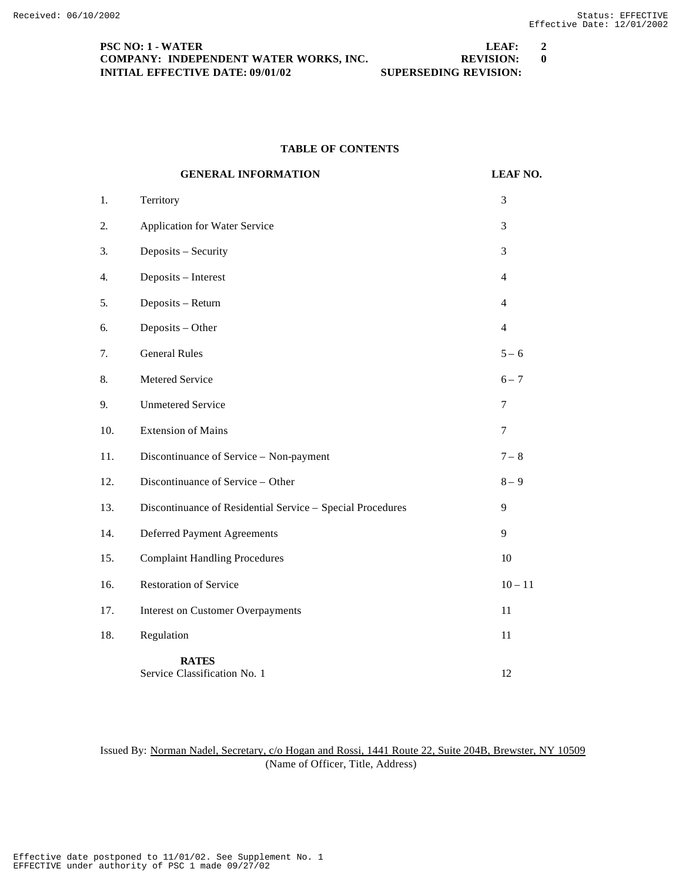| <b>PSC NO: 1 - WATER</b>                | LEAF:                        | <sup>2</sup> |
|-----------------------------------------|------------------------------|--------------|
| COMPANY: INDEPENDENT WATER WORKS, INC.  | <b>REVISION:</b>             |              |
| <b>INITIAL EFFECTIVE DATE: 09/01/02</b> | <b>SUPERSEDING REVISION:</b> |              |

# **TABLE OF CONTENTS**

|     | <b>GENERAL INFORMATION</b>                                 | <b>LEAF NO.</b> |
|-----|------------------------------------------------------------|-----------------|
| 1.  | Territory                                                  | 3               |
| 2.  | <b>Application for Water Service</b>                       | 3               |
| 3.  | Deposits - Security                                        | 3               |
| 4.  | Deposits - Interest                                        | $\overline{4}$  |
| 5.  | Deposits - Return                                          | $\overline{4}$  |
| 6.  | Deposits - Other                                           | $\overline{4}$  |
| 7.  | <b>General Rules</b>                                       | $5 - 6$         |
| 8.  | Metered Service                                            | $6 - 7$         |
| 9.  | <b>Unmetered Service</b>                                   | $\tau$          |
| 10. | <b>Extension of Mains</b>                                  | $\tau$          |
| 11. | Discontinuance of Service - Non-payment                    | $7 - 8$         |
| 12. | Discontinuance of Service - Other                          | $8-9$           |
| 13. | Discontinuance of Residential Service - Special Procedures | 9               |
| 14. | <b>Deferred Payment Agreements</b>                         | 9               |
| 15. | <b>Complaint Handling Procedures</b>                       | 10              |
| 16. | <b>Restoration of Service</b>                              | $10 - 11$       |
| 17. | <b>Interest on Customer Overpayments</b>                   | 11              |
| 18. | Regulation                                                 | 11              |
|     | <b>RATES</b><br>Service Classification No. 1               | 12              |

Issued By: Norman Nadel, Secretary, c/o Hogan and Rossi, 1441 Route 22, Suite 204B, Brewster, NY 10509 (Name of Officer, Title, Address)

EFFECTIVE under authority of PSC 1 made 09/27/02 Effective date postponed to 11/01/02. See Supplement No. 1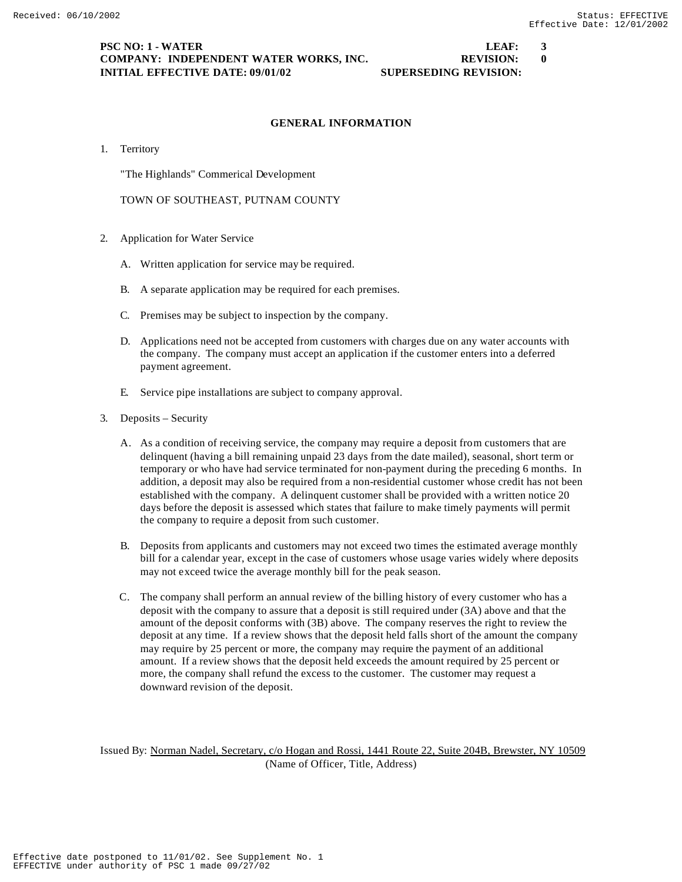### **PSC NO: 1 - WATER LEAF: 3 COMPANY: INDEPENDENT WATER WORKS, INC. REVISION: 0 INITIAL EFFECTIVE DATE: 09/01/02 SUPERSEDING REVISION:**

### **GENERAL INFORMATION**

1. Territory

"The Highlands" Commerical Development

TOWN OF SOUTHEAST, PUTNAM COUNTY

- 2. Application for Water Service
	- A. Written application for service may be required.
	- B. A separate application may be required for each premises.
	- C. Premises may be subject to inspection by the company.
	- D. Applications need not be accepted from customers with charges due on any water accounts with the company. The company must accept an application if the customer enters into a deferred payment agreement.
	- E. Service pipe installations are subject to company approval.
- 3. Deposits Security
	- A. As a condition of receiving service, the company may require a deposit from customers that are delinquent (having a bill remaining unpaid 23 days from the date mailed), seasonal, short term or temporary or who have had service terminated for non-payment during the preceding 6 months. In addition, a deposit may also be required from a non-residential customer whose credit has not been established with the company. A delinquent customer shall be provided with a written notice 20 days before the deposit is assessed which states that failure to make timely payments will permit the company to require a deposit from such customer.
	- B. Deposits from applicants and customers may not exceed two times the estimated average monthly bill for a calendar year, except in the case of customers whose usage varies widely where deposits may not exceed twice the average monthly bill for the peak season.
	- C. The company shall perform an annual review of the billing history of every customer who has a deposit with the company to assure that a deposit is still required under (3A) above and that the amount of the deposit conforms with (3B) above. The company reserves the right to review the deposit at any time. If a review shows that the deposit held falls short of the amount the company may require by 25 percent or more, the company may require the payment of an additional amount. If a review shows that the deposit held exceeds the amount required by 25 percent or more, the company shall refund the excess to the customer. The customer may request a downward revision of the deposit.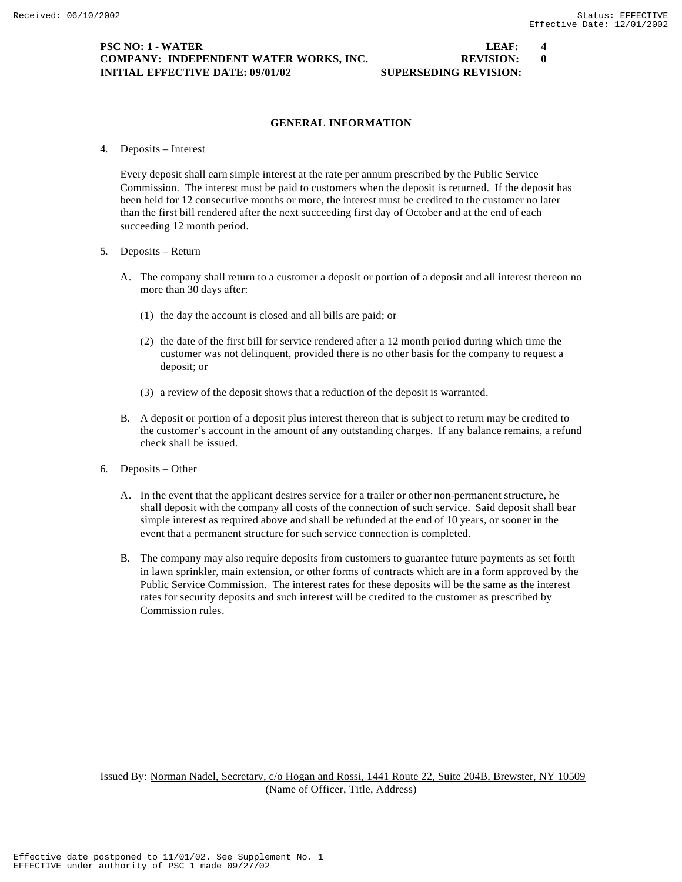### **PSC NO: 1 - WATER LEAF: 4 COMPANY: INDEPENDENT WATER WORKS, INC. REVISION: 0 INITIAL EFFECTIVE DATE: 09/01/02 SUPERSEDING REVISION:**

### **GENERAL INFORMATION**

4. Deposits – Interest

Every deposit shall earn simple interest at the rate per annum prescribed by the Public Service Commission. The interest must be paid to customers when the deposit is returned. If the deposit has been held for 12 consecutive months or more, the interest must be credited to the customer no later than the first bill rendered after the next succeeding first day of October and at the end of each succeeding 12 month period.

- 5. Deposits Return
	- A. The company shall return to a customer a deposit or portion of a deposit and all interest thereon no more than 30 days after:
		- (1) the day the account is closed and all bills are paid; or
		- (2) the date of the first bill for service rendered after a 12 month period during which time the customer was not delinquent, provided there is no other basis for the company to request a deposit; or
		- (3) a review of the deposit shows that a reduction of the deposit is warranted.
	- B. A deposit or portion of a deposit plus interest thereon that is subject to return may be credited to the customer's account in the amount of any outstanding charges. If any balance remains, a refund check shall be issued.
- 6. Deposits Other
	- A. In the event that the applicant desires service for a trailer or other non-permanent structure, he shall deposit with the company all costs of the connection of such service. Said deposit shall bear simple interest as required above and shall be refunded at the end of 10 years, or sooner in the event that a permanent structure for such service connection is completed.
	- B. The company may also require deposits from customers to guarantee future payments as set forth in lawn sprinkler, main extension, or other forms of contracts which are in a form approved by the Public Service Commission. The interest rates for these deposits will be the same as the interest rates for security deposits and such interest will be credited to the customer as prescribed by Commission rules.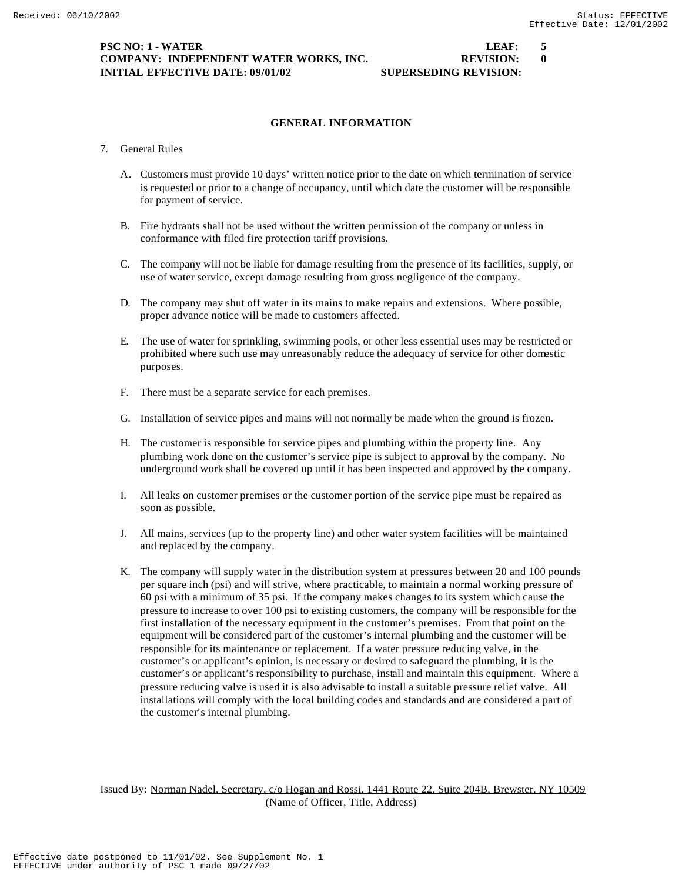### **PSC NO: 1 - WATER LEAF: 5 COMPANY: INDEPENDENT WATER WORKS, INC.**  $\qquad \qquad \qquad$  **REVISION: 0 INITIAL EFFECTIVE DATE: 09/01/02 SUPERSEDING REVISION:**

# **GENERAL INFORMATION**

- 7. General Rules
	- A. Customers must provide 10 days' written notice prior to the date on which termination of service is requested or prior to a change of occupancy, until which date the customer will be responsible for payment of service.
	- B. Fire hydrants shall not be used without the written permission of the company or unless in conformance with filed fire protection tariff provisions.
	- C. The company will not be liable for damage resulting from the presence of its facilities, supply, or use of water service, except damage resulting from gross negligence of the company.
	- D. The company may shut off water in its mains to make repairs and extensions. Where possible, proper advance notice will be made to customers affected.
	- E. The use of water for sprinkling, swimming pools, or other less essential uses may be restricted or prohibited where such use may unreasonably reduce the adequacy of service for other domestic purposes.
	- F. There must be a separate service for each premises.
	- G. Installation of service pipes and mains will not normally be made when the ground is frozen.
	- H. The customer is responsible for service pipes and plumbing within the property line. Any plumbing work done on the customer's service pipe is subject to approval by the company. No underground work shall be covered up until it has been inspected and approved by the company.
	- I. All leaks on customer premises or the customer portion of the service pipe must be repaired as soon as possible.
	- J. All mains, services (up to the property line) and other water system facilities will be maintained and replaced by the company.
	- K. The company will supply water in the distribution system at pressures between 20 and 100 pounds per square inch (psi) and will strive, where practicable, to maintain a normal working pressure of 60 psi with a minimum of 35 psi. If the company makes changes to its system which cause the pressure to increase to over 100 psi to existing customers, the company will be responsible for the first installation of the necessary equipment in the customer's premises. From that point on the equipment will be considered part of the customer's internal plumbing and the customer will be responsible for its maintenance or replacement. If a water pressure reducing valve, in the customer's or applicant's opinion, is necessary or desired to safeguard the plumbing, it is the customer's or applicant's responsibility to purchase, install and maintain this equipment. Where a pressure reducing valve is used it is also advisable to install a suitable pressure relief valve. All installations will comply with the local building codes and standards and are considered a part of the customer's internal plumbing.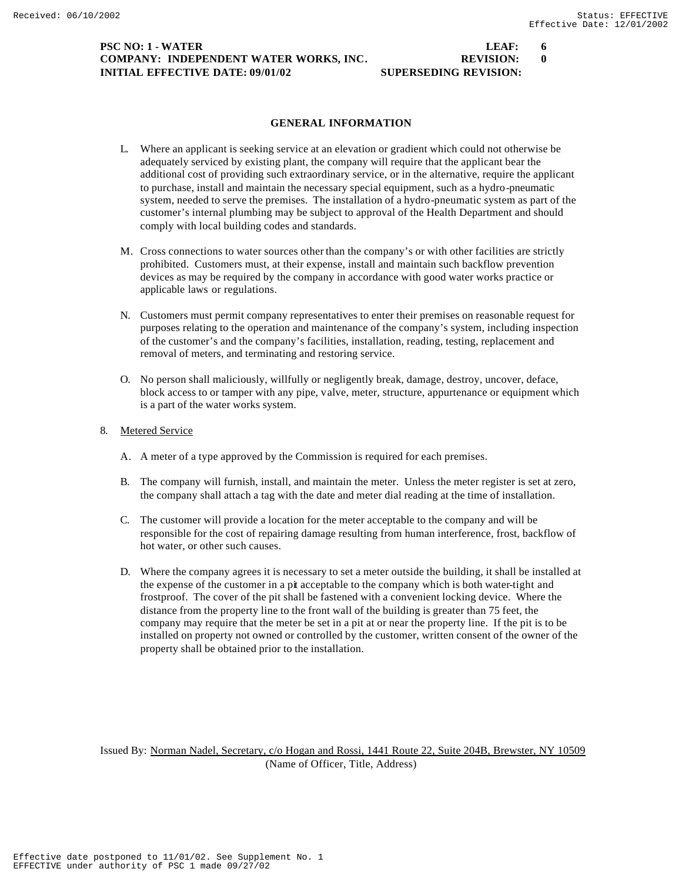### **PSC NO: 1 - WATER LEAF: 6 COMPANY: INDEPENDENT WATER WORKS, INC. REVISION:** 0 **INITIAL EFFECTIVE DATE: 09/01/02 SUPERSEDING REVISION:**

## **GENERAL INFORMATION**

- L. Where an applicant is seeking service at an elevation or gradient which could not otherwise be adequately serviced by existing plant, the company will require that the applicant bear the additional cost of providing such extraordinary service, or in the alternative, require the applicant to purchase, install and maintain the necessary special equipment, such as a hydro-pneumatic system, needed to serve the premises. The installation of a hydro-pneumatic system as part of the customer's internal plumbing may be subject to approval of the Health Department and should comply with local building codes and standards.
- M. Cross connections to water sources other than the company's or with other facilities are strictly prohibited. Customers must, at their expense, install and maintain such backflow prevention devices as may be required by the company in accordance with good water works practice or applicable laws or regulations.
- N. Customers must permit company representatives to enter their premises on reasonable request for purposes relating to the operation and maintenance of the company's system, including inspection of the customer's and the company's facilities, installation, reading, testing, replacement and removal of meters, and terminating and restoring service.
- O. No person shall maliciously, willfully or negligently break, damage, destroy, uncover, deface, block access to or tamper with any pipe, valve, meter, structure, appurtenance or equipment which is a part of the water works system.

### 8. Metered Service

- A. A meter of a type approved by the Commission is required for each premises.
- B. The company will furnish, install, and maintain the meter. Unless the meter register is set at zero, the company shall attach a tag with the date and meter dial reading at the time of installation.
- C. The customer will provide a location for the meter acceptable to the company and will be responsible for the cost of repairing damage resulting from human interference, frost, backflow of hot water, or other such causes.
- D. Where the company agrees it is necessary to set a meter outside the building, it shall be installed at the expense of the customer in a pit acceptable to the company which is both water-tight and frostproof. The cover of the pit shall be fastened with a convenient locking device. Where the distance from the property line to the front wall of the building is greater than 75 feet, the company may require that the meter be set in a pit at or near the property line. If the pit is to be installed on property not owned or controlled by the customer, written consent of the owner of the property shall be obtained prior to the installation.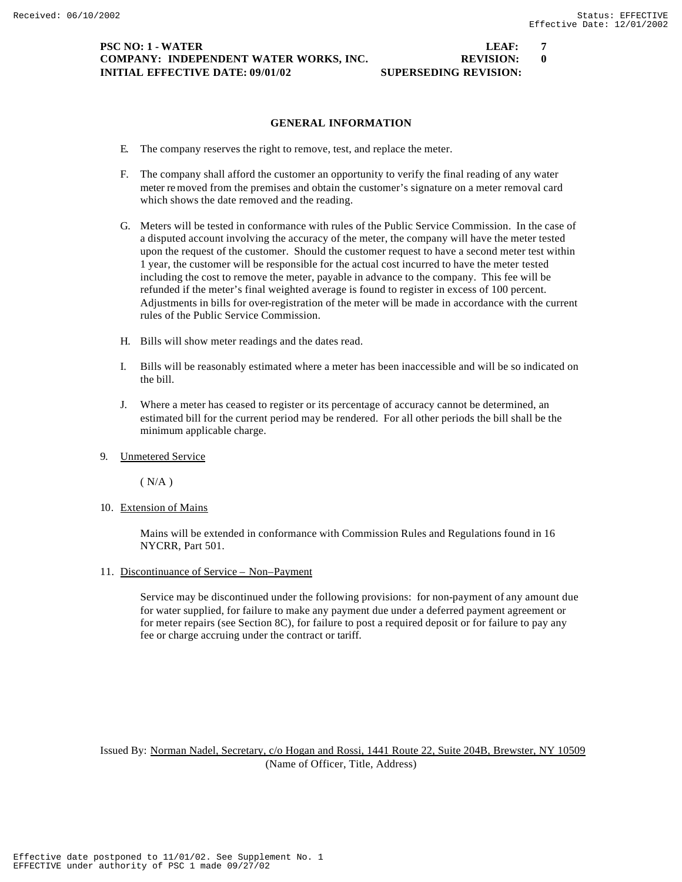### **PSC NO: 1 - WATER LEAF: 7 COMPANY: INDEPENDENT WATER WORKS, INC. REVISION:** 0 **INITIAL EFFECTIVE DATE: 09/01/02 SUPERSEDING REVISION:**

### **GENERAL INFORMATION**

- E. The company reserves the right to remove, test, and replace the meter.
- F. The company shall afford the customer an opportunity to verify the final reading of any water meter removed from the premises and obtain the customer's signature on a meter removal card which shows the date removed and the reading.
- G. Meters will be tested in conformance with rules of the Public Service Commission. In the case of a disputed account involving the accuracy of the meter, the company will have the meter tested upon the request of the customer. Should the customer request to have a second meter test within 1 year, the customer will be responsible for the actual cost incurred to have the meter tested including the cost to remove the meter, payable in advance to the company. This fee will be refunded if the meter's final weighted average is found to register in excess of 100 percent. Adjustments in bills for over-registration of the meter will be made in accordance with the current rules of the Public Service Commission.
- H. Bills will show meter readings and the dates read.
- I. Bills will be reasonably estimated where a meter has been inaccessible and will be so indicated on the bill.
- J. Where a meter has ceased to register or its percentage of accuracy cannot be determined, an estimated bill for the current period may be rendered. For all other periods the bill shall be the minimum applicable charge.
- 9. Unmetered Service

 $(N/A)$ 

10. Extension of Mains

Mains will be extended in conformance with Commission Rules and Regulations found in 16 NYCRR, Part 501.

11. Discontinuance of Service – Non–Payment

Service may be discontinued under the following provisions: for non-payment of any amount due for water supplied, for failure to make any payment due under a deferred payment agreement or for meter repairs (see Section 8C), for failure to post a required deposit or for failure to pay any fee or charge accruing under the contract or tariff.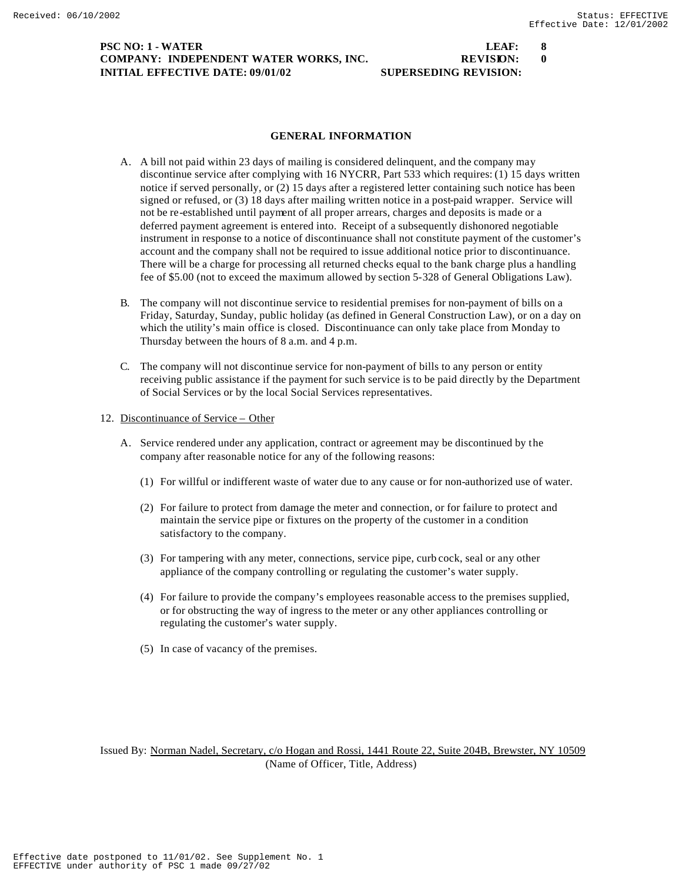### **PSC NO: 1 - WATER LEAF: 8 COMPANY: INDEPENDENT WATER WORKS, INC. REVISION:** 0 **INITIAL EFFECTIVE DATE: 09/01/02 SUPERSEDING REVISION:**

#### **GENERAL INFORMATION**

- A. A bill not paid within 23 days of mailing is considered delinquent, and the company may discontinue service after complying with 16 NYCRR, Part 533 which requires: (1) 15 days written notice if served personally, or (2) 15 days after a registered letter containing such notice has been signed or refused, or (3) 18 days after mailing written notice in a post-paid wrapper. Service will not be re-established until payment of all proper arrears, charges and deposits is made or a deferred payment agreement is entered into. Receipt of a subsequently dishonored negotiable instrument in response to a notice of discontinuance shall not constitute payment of the customer's account and the company shall not be required to issue additional notice prior to discontinuance. There will be a charge for processing all returned checks equal to the bank charge plus a handling fee of \$5.00 (not to exceed the maximum allowed by section 5-328 of General Obligations Law).
- B. The company will not discontinue service to residential premises for non-payment of bills on a Friday, Saturday, Sunday, public holiday (as defined in General Construction Law), or on a day on which the utility's main office is closed. Discontinuance can only take place from Monday to Thursday between the hours of 8 a.m. and 4 p.m.
- C. The company will not discontinue service for non-payment of bills to any person or entity receiving public assistance if the payment for such service is to be paid directly by the Department of Social Services or by the local Social Services representatives.

#### 12. Discontinuance of Service – Other

- A. Service rendered under any application, contract or agreement may be discontinued by the company after reasonable notice for any of the following reasons:
	- (1) For willful or indifferent waste of water due to any cause or for non-authorized use of water.
	- (2) For failure to protect from damage the meter and connection, or for failure to protect and maintain the service pipe or fixtures on the property of the customer in a condition satisfactory to the company.
	- (3) For tampering with any meter, connections, service pipe, curb cock, seal or any other appliance of the company controlling or regulating the customer's water supply.
	- (4) For failure to provide the company's employees reasonable access to the premises supplied, or for obstructing the way of ingress to the meter or any other appliances controlling or regulating the customer's water supply.
	- (5) In case of vacancy of the premises.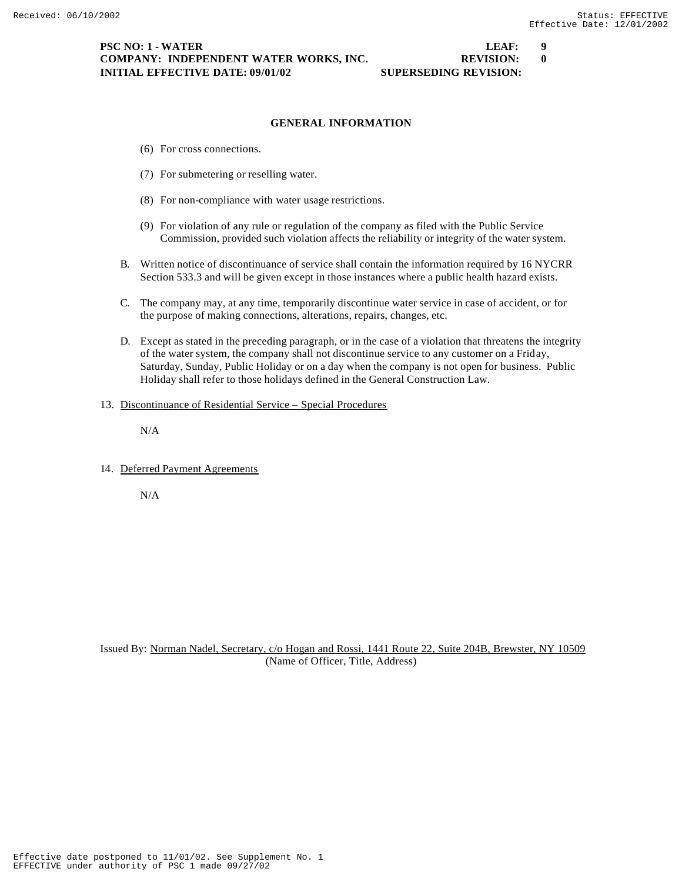### **PSC NO: 1 - WATER LEAF: 9 COMPANY: INDEPENDENT WATER WORKS, INC.**  $\qquad \qquad \qquad \mathbb{REVISION:}$  **0 INITIAL EFFECTIVE DATE: 09/01/02 SUPERSEDING REVISION:**

### **GENERAL INFORMATION**

- (6) For cross connections.
- (7) For submetering or reselling water.
- (8) For non-compliance with water usage restrictions.
- (9) For violation of any rule or regulation of the company as filed with the Public Service Commission, provided such violation affects the reliability or integrity of the water system.
- B. Written notice of discontinuance of service shall contain the information required by 16 NYCRR Section 533.3 and will be given except in those instances where a public health hazard exists.
- C. The company may, at any time, temporarily discontinue water service in case of accident, or for the purpose of making connections, alterations, repairs, changes, etc.
- D. Except as stated in the preceding paragraph, or in the case of a violation that threatens the integrity of the water system, the company shall not discontinue service to any customer on a Friday, Saturday, Sunday, Public Holiday or on a day when the company is not open for business. Public Holiday shall refer to those holidays defined in the General Construction Law.
- 13. Discontinuance of Residential Service Special Procedures

N/A

14. Deferred Payment Agreements

N/A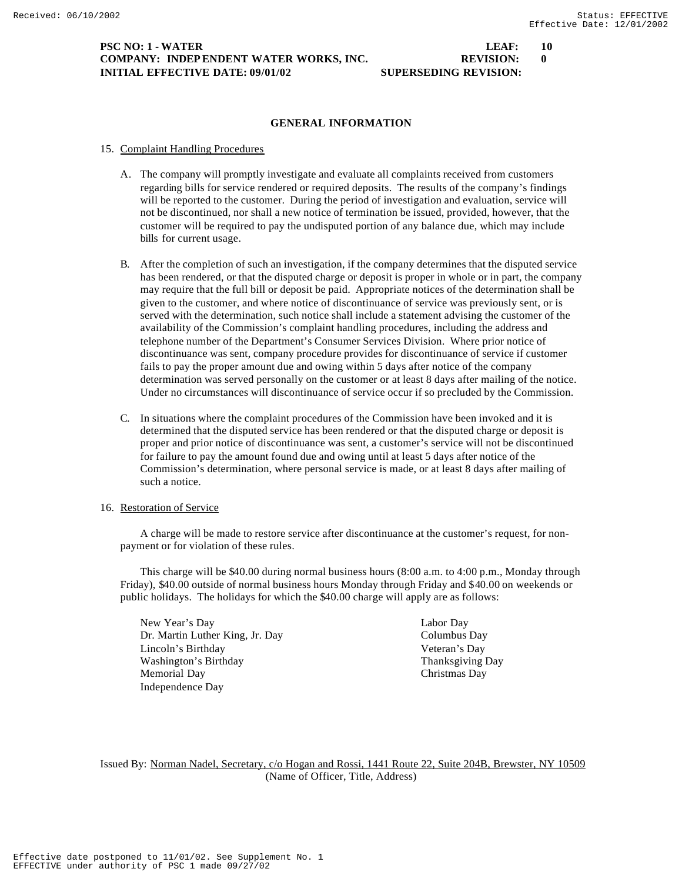### **PSC NO: 1 - WATER LEAF: 10 COMPANY: INDEPENDENT WATER WORKS, INC. REVISION:** 0 **INITIAL EFFECTIVE DATE: 09/01/02 SUPERSEDING REVISION:**

#### **GENERAL INFORMATION**

#### 15. Complaint Handling Procedures

- A. The company will promptly investigate and evaluate all complaints received from customers regarding bills for service rendered or required deposits. The results of the company's findings will be reported to the customer. During the period of investigation and evaluation, service will not be discontinued, nor shall a new notice of termination be issued, provided, however, that the customer will be required to pay the undisputed portion of any balance due, which may include bills for current usage.
- B. After the completion of such an investigation, if the company determines that the disputed service has been rendered, or that the disputed charge or deposit is proper in whole or in part, the company may require that the full bill or deposit be paid. Appropriate notices of the determination shall be given to the customer, and where notice of discontinuance of service was previously sent, or is served with the determination, such notice shall include a statement advising the customer of the availability of the Commission's complaint handling procedures, including the address and telephone number of the Department's Consumer Services Division. Where prior notice of discontinuance was sent, company procedure provides for discontinuance of service if customer fails to pay the proper amount due and owing within 5 days after notice of the company determination was served personally on the customer or at least 8 days after mailing of the notice. Under no circumstances will discontinuance of service occur if so precluded by the Commission.
- C. In situations where the complaint procedures of the Commission have been invoked and it is determined that the disputed service has been rendered or that the disputed charge or deposit is proper and prior notice of discontinuance was sent, a customer's service will not be discontinued for failure to pay the amount found due and owing until at least 5 days after notice of the Commission's determination, where personal service is made, or at least 8 days after mailing of such a notice.

#### 16. Restoration of Service

A charge will be made to restore service after discontinuance at the customer's request, for nonpayment or for violation of these rules.

This charge will be \$40.00 during normal business hours (8:00 a.m. to 4:00 p.m., Monday through Friday), \$40.00 outside of normal business hours Monday through Friday and \$40.00 on weekends or public holidays. The holidays for which the \$40.00 charge will apply are as follows:

New Year's Day Labor Day Dr. Martin Luther King, Jr. Day Columbus Day Lincoln's Birthday Veteran's Day Washington's Birthday Thanksgiving Day Memorial Day Christmas Day Independence Day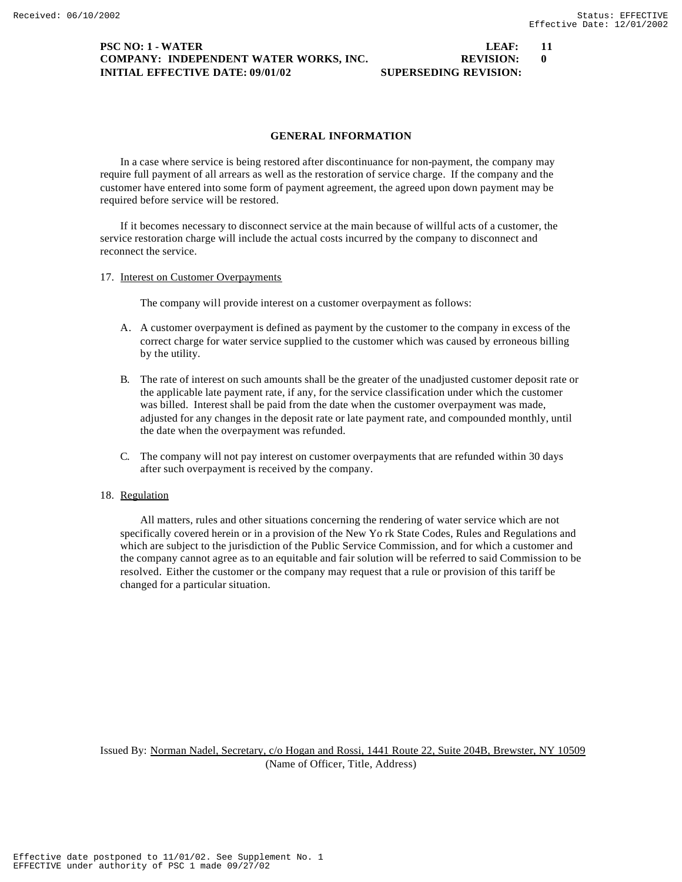### **PSC NO: 1 - WATER LEAF: 11 COMPANY: INDEPENDENT WATER WORKS, INC. REVISION:** 0 **INITIAL EFFECTIVE DATE: 09/01/02 SUPERSEDING REVISION:**

required before service will be restored.

17. Interest on Customer Overpayments

by the utility.

reconnect the service.

**GENERAL INFORMATION**

In a case where service is being restored after discontinuance for non-payment, the company may require full payment of all arrears as well as the restoration of service charge. If the company and the customer have entered into some form of payment agreement, the agreed upon down payment may be

If it becomes necessary to disconnect service at the main because of willful acts of a customer, the

A. A customer overpayment is defined as payment by the customer to the company in excess of the correct charge for water service supplied to the customer which was caused by erroneous billing

service restoration charge will include the actual costs incurred by the company to disconnect and

The company will provide interest on a customer overpayment as follows:

- B. The rate of interest on such amounts shall be the greater of the unadjusted customer deposit rate or the applicable late payment rate, if any, for the service classification under which the customer
	- was billed. Interest shall be paid from the date when the customer overpayment was made, adjusted for any changes in the deposit rate or late payment rate, and compounded monthly, until the date when the overpayment was refunded.
- C. The company will not pay interest on customer overpayments that are refunded within 30 days after such overpayment is received by the company.

# 18. Regulation

All matters, rules and other situations concerning the rendering of water service which are not specifically covered herein or in a provision of the New Yo rk State Codes, Rules and Regulations and which are subject to the jurisdiction of the Public Service Commission, and for which a customer and the company cannot agree as to an equitable and fair solution will be referred to said Commission to be resolved. Either the customer or the company may request that a rule or provision of this tariff be changed for a particular situation.